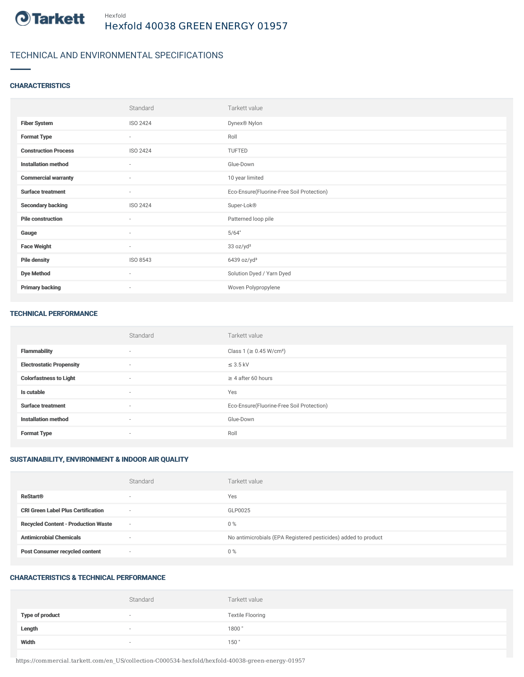

## TECHNICAL AND ENVIRONMENTAL SPECIFICATIONS

#### **CHARACTERISTICS**

|                             | Standard | Tarkett value                             |
|-----------------------------|----------|-------------------------------------------|
| <b>Fiber System</b>         | ISO 2424 | Dynex® Nylon                              |
| <b>Format Type</b>          | $\sim$   | Roll                                      |
| <b>Construction Process</b> | ISO 2424 | TUFTED                                    |
| <b>Installation method</b>  | $\sim$   | Glue-Down                                 |
| <b>Commercial warranty</b>  | $\sim$   | 10 year limited                           |
| <b>Surface treatment</b>    | $\sim$   | Eco-Ensure(Fluorine-Free Soil Protection) |
| <b>Secondary backing</b>    | ISO 2424 | Super-Lok®                                |
| <b>Pile construction</b>    | $\sim$   | Patterned loop pile                       |
| Gauge                       | $\sim$   | 5/64"                                     |
| <b>Face Weight</b>          | $\sim$   | 33 oz/yd <sup>2</sup>                     |
| <b>Pile density</b>         | ISO 8543 | $6439$ oz/yd <sup>3</sup>                 |
| <b>Dye Method</b>           | $\sim$   | Solution Dyed / Yarn Dyed                 |
| <b>Primary backing</b>      | $\sim$   | Woven Polypropylene                       |

#### TECHNICAL PERFORMANCE

|                                 | Standard                 | Tarkett value                             |
|---------------------------------|--------------------------|-------------------------------------------|
| <b>Flammability</b>             | $\overline{\phantom{a}}$ | Class 1 (≥ 0.45 W/cm <sup>2</sup> )       |
| <b>Electrostatic Propensity</b> | $\sim$                   | $\leq$ 3.5 kV                             |
| <b>Colorfastness to Light</b>   | $\sim$                   | $\geq$ 4 after 60 hours                   |
| Is cutable                      | $\sim$                   | Yes                                       |
| <b>Surface treatment</b>        | $\sim$                   | Eco-Ensure(Fluorine-Free Soil Protection) |
| <b>Installation method</b>      | $\overline{\phantom{a}}$ | Glue-Down                                 |
| <b>Format Type</b>              | $\sim$                   | Roll                                      |

### SUSTAINABILITY, ENVIRONMENT & INDOOR AIR QUALITY

|                                            | Standard                 | Tarkett value                                                  |
|--------------------------------------------|--------------------------|----------------------------------------------------------------|
| <b>ReStart®</b>                            | $\overline{\phantom{a}}$ | Yes                                                            |
| <b>CRI Green Label Plus Certification</b>  | $\sim$                   | GLP0025                                                        |
| <b>Recycled Content - Production Waste</b> | $\sim$                   | $0\%$                                                          |
| <b>Antimicrobial Chemicals</b>             | -                        | No antimicrobials (EPA Registered pesticides) added to product |
| <b>Post Consumer recycled content</b>      | $\sim$                   | $0\%$                                                          |

#### CHARACTERISTICS & TECHNICAL PERFORMANCE

|                        | Standard | Tarkett value           |
|------------------------|----------|-------------------------|
| <b>Type of product</b> | $\sim$   | <b>Textile Flooring</b> |
| Length                 |          | 1800                    |
| Width                  | $\sim$   | 150                     |

https://commercial.tarkett.com/en\_US/collection-C000534-hexfold/hexfold-40038-green-energy-01957